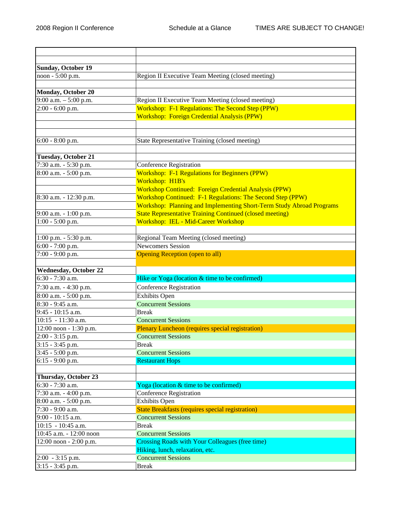| <b>Sunday, October 19</b>                |                                                                      |
|------------------------------------------|----------------------------------------------------------------------|
| noon - 5:00 p.m.                         | Region II Executive Team Meeting (closed meeting)                    |
|                                          |                                                                      |
| Monday, October 20                       |                                                                      |
| 9:00 a.m. $-$ 5:00 p.m.                  | Region II Executive Team Meeting (closed meeting)                    |
| $2:00 - 6:00$ p.m.                       | Workshop: F-1 Regulations: The Second Step (PPW)                     |
|                                          | <b>Workshop: Foreign Credential Analysis (PPW)</b>                   |
|                                          |                                                                      |
|                                          |                                                                      |
| 6:00 - 8:00 p.m.                         | State Representative Training (closed meeting)                       |
| <b>Tuesday, October 21</b>               |                                                                      |
| 7:30 a.m. - 5:30 p.m.                    | <b>Conference Registration</b>                                       |
| 8:00 a.m. - 5:00 p.m.                    | <b>Workshop: F-1 Regulations for Beginners (PPW)</b>                 |
|                                          | Workshop: H1B's                                                      |
|                                          | <b>Workshop Continued: Foreign Credential Analysis (PPW)</b>         |
| 8:30 a.m. - 12:30 p.m.                   | Workshop Continued: F-1 Regulations: The Second Step (PPW)           |
|                                          | Workshop: Planning and Implementing Short-Term Study Abroad Programs |
| 9:00 a.m. - 1:00 p.m.                    | <b>State Representative Training Continued (closed meeting)</b>      |
| $1:00 - 5:00$ p.m.                       | Workshop: IEL - Mid-Career Workshop                                  |
|                                          |                                                                      |
| 1:00 p.m. - 5:30 p.m.                    | Regional Team Meeting (closed meeting)                               |
| $6:00 - 7:00$ p.m.                       | <b>Newcomers Session</b>                                             |
| 7:00 - 9:00 p.m.                         | <b>Opening Reception (open to all)</b>                               |
|                                          |                                                                      |
| Wednesday, October 22                    |                                                                      |
| 6:30 - 7:30 a.m.                         | Hike or Yoga (location & time to be confirmed)                       |
| 7:30 a.m. - 4:30 p.m.                    | <b>Conference Registration</b>                                       |
| 8:00 a.m. - 5:00 p.m.                    | <b>Exhibits Open</b>                                                 |
| 8:30 - 9:45 a.m.                         | <b>Concurrent Sessions</b>                                           |
| 9:45 - 10:15 a.m.                        | <b>Break</b>                                                         |
| 10:15 - 11:30 a.m.                       | <b>Concurrent Sessions</b>                                           |
| 12:00 noon - 1:30 p.m.                   | Plenary Luncheon (requires special registration)                     |
| 2:00 - 3:15 p.m.                         | <b>Concurrent Sessions</b>                                           |
| $3:15 - 3:45$ p.m.                       | <b>Break</b>                                                         |
| 3:45 - 5:00 p.m.                         | <b>Concurrent Sessions</b>                                           |
| $6:15 - 9:00$ p.m.                       | <b>Restaurant Hops</b>                                               |
|                                          |                                                                      |
| Thursday, October 23                     |                                                                      |
| 6:30 - 7:30 a.m.                         | Yoga (location & time to be confirmed)                               |
| 7:30 a.m. - 4:00 p.m.                    | <b>Conference Registration</b>                                       |
| 8:00 a.m. - 5:00 p.m.                    | <b>Exhibits Open</b>                                                 |
| 7:30 - 9:00 a.m.                         | <b>State Breakfasts (requires special registration)</b>              |
| 9:00 - 10:15 a.m.                        | <b>Concurrent Sessions</b>                                           |
| $10:15 - 10:45$ a.m.                     | <b>Break</b>                                                         |
| 10:45 a.m. - 12:00 noon                  | <b>Concurrent Sessions</b>                                           |
| 12:00 noon - 2:00 p.m.                   | Crossing Roads with Your Colleagues (free time)                      |
|                                          | Hiking, lunch, relaxation, etc.<br><b>Concurrent Sessions</b>        |
| $2:00 - 3:15$ p.m.<br>$3:15 - 3:45$ p.m. | <b>Break</b>                                                         |
|                                          |                                                                      |